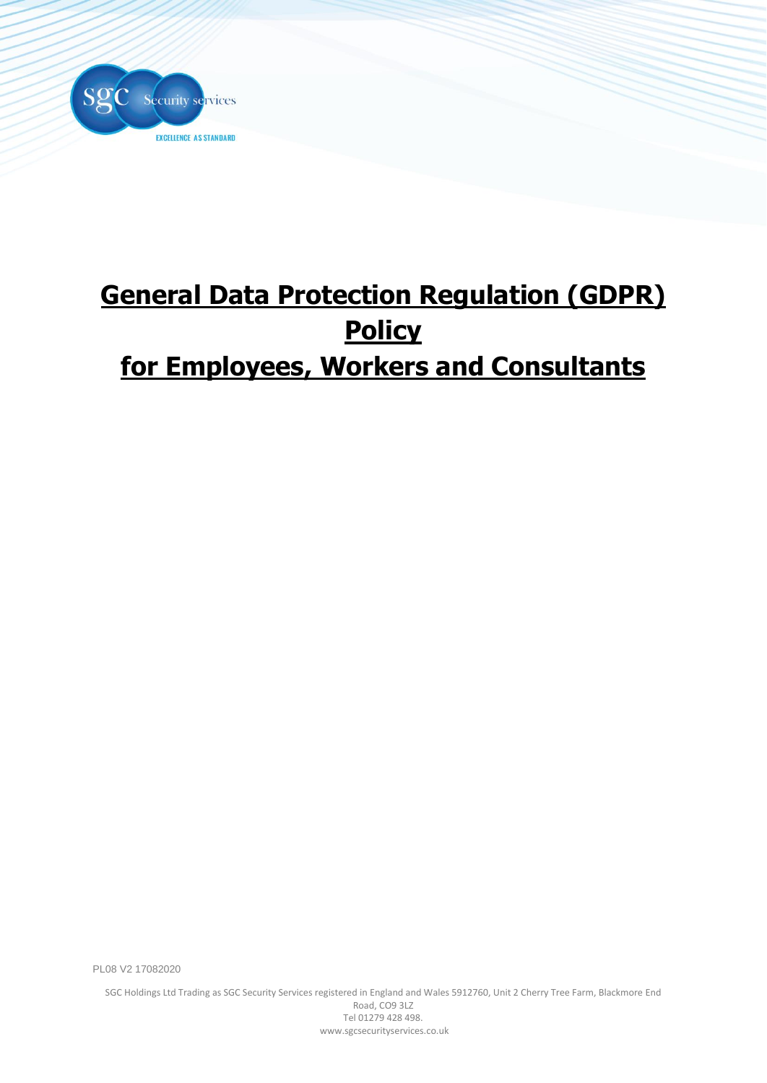

# **General Data Protection Regulation (GDPR) Policy for Employees, Workers and Consultants**

PL08 V2 17082020

SGC Holdings Ltd Trading as SGC Security Services registered in England and Wales 5912760, Unit 2 Cherry Tree Farm, Blackmore End Road, CO9 3LZ Tel 01279 428 498. www.sgcsecurityservices.co.uk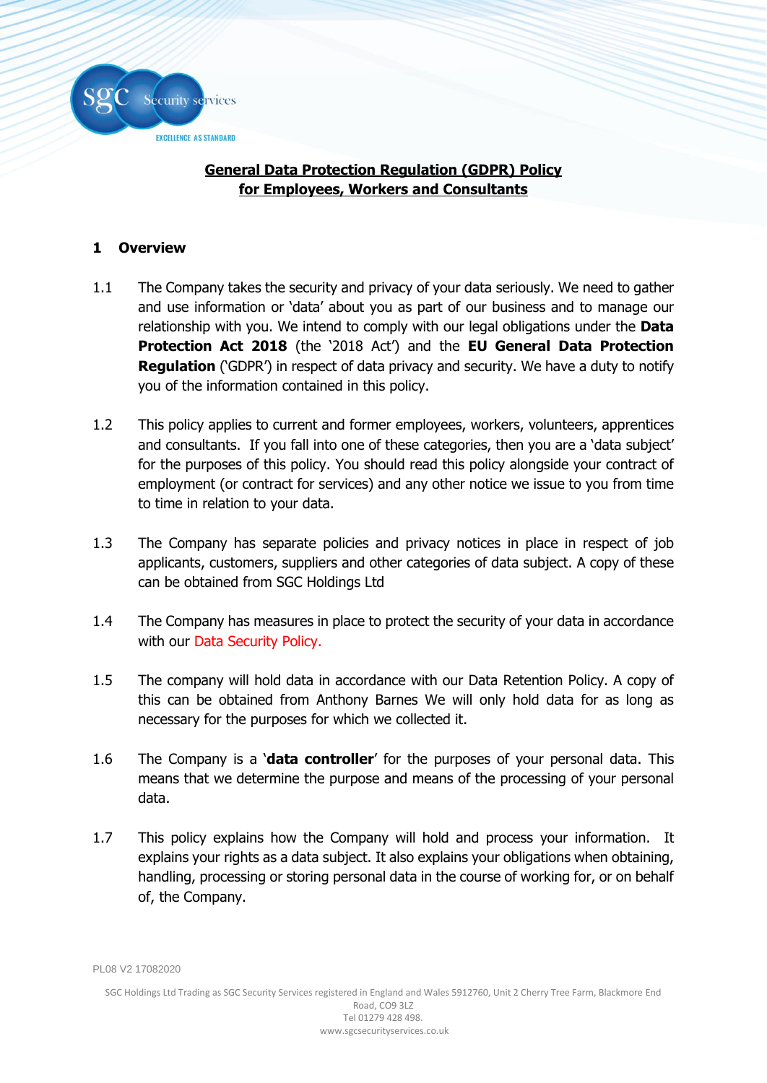

# **General Data Protection Regulation (GDPR) Policy for Employees, Workers and Consultants**

# **1 Overview**

- 1.1 The Company takes the security and privacy of your data seriously. We need to gather and use information or 'data' about you as part of our business and to manage our relationship with you. We intend to comply with our legal obligations under the **Data Protection Act 2018** (the '2018 Act') and the **EU General Data Protection Regulation** ('GDPR') in respect of data privacy and security. We have a duty to notify you of the information contained in this policy.
- 1.2 This policy applies to current and former employees, workers, volunteers, apprentices and consultants. If you fall into one of these categories, then you are a 'data subject' for the purposes of this policy. You should read this policy alongside your contract of employment (or contract for services) and any other notice we issue to you from time to time in relation to your data.
- 1.3 The Company has separate policies and privacy notices in place in respect of job applicants, customers, suppliers and other categories of data subject. A copy of these can be obtained from SGC Holdings Ltd
- 1.4 The Company has measures in place to protect the security of your data in accordance with our Data Security Policy.
- 1.5 The company will hold data in accordance with our Data Retention Policy. A copy of this can be obtained from Anthony Barnes We will only hold data for as long as necessary for the purposes for which we collected it.
- 1.6 The Company is a '**data controller**' for the purposes of your personal data. This means that we determine the purpose and means of the processing of your personal data.
- 1.7 This policy explains how the Company will hold and process your information. It explains your rights as a data subject. It also explains your obligations when obtaining, handling, processing or storing personal data in the course of working for, or on behalf of, the Company.

PL08 V2 17082020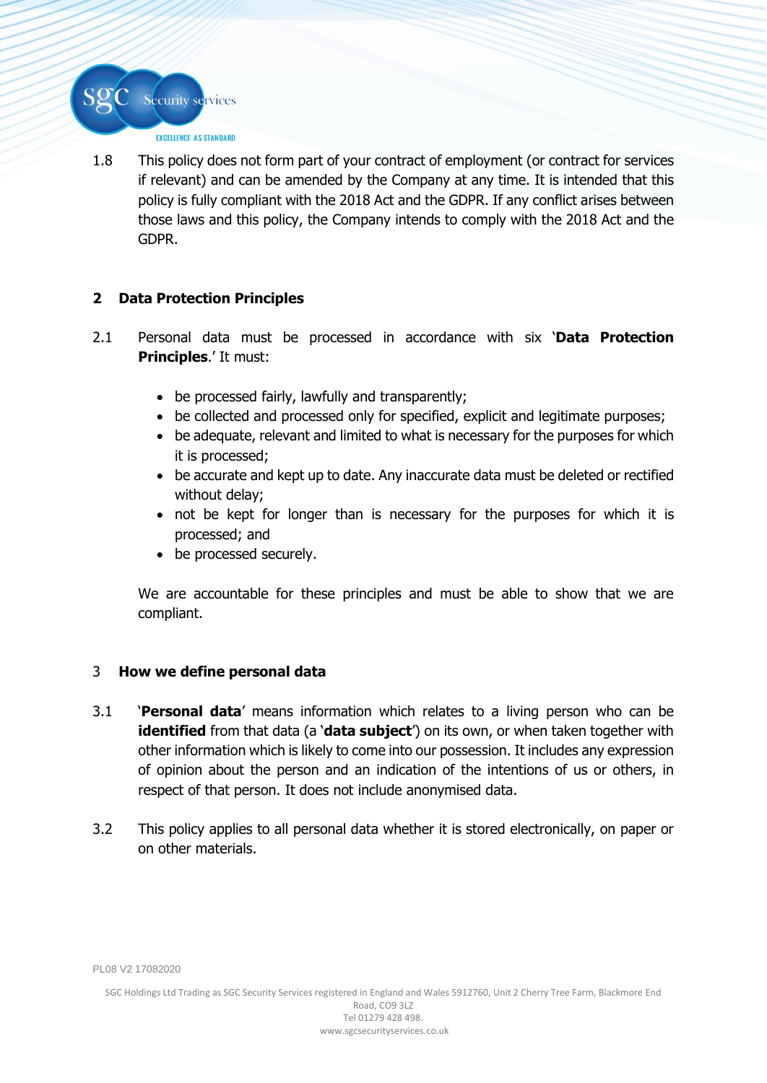1.8 This policy does not form part of your contract of employment (or contract for services if relevant) and can be amended by the Company at any time. It is intended that this policy is fully compliant with the 2018 Act and the GDPR. If any conflict arises between those laws and this policy, the Company intends to comply with the 2018 Act and the GDPR.

# **2 Data Protection Principles**

Security services

EXCELLENCE AS STANDARD

- 2.1 Personal data must be processed in accordance with six '**Data Protection Principles**.' It must:
	- be processed fairly, lawfully and transparently;
	- be collected and processed only for specified, explicit and legitimate purposes;
	- be adequate, relevant and limited to what is necessary for the purposes for which it is processed;
	- be accurate and kept up to date. Any inaccurate data must be deleted or rectified without delay;
	- not be kept for longer than is necessary for the purposes for which it is processed; and
	- be processed securely.

We are accountable for these principles and must be able to show that we are compliant.

# 3 **How we define personal data**

- 3.1 '**Personal data**' means information which relates to a living person who can be **identified** from that data (a '**data subject'**) on its own, or when taken together with other information which is likely to come into our possession. It includes any expression of opinion about the person and an indication of the intentions of us or others, in respect of that person. It does not include anonymised data.
- 3.2 This policy applies to all personal data whether it is stored electronically, on paper or on other materials.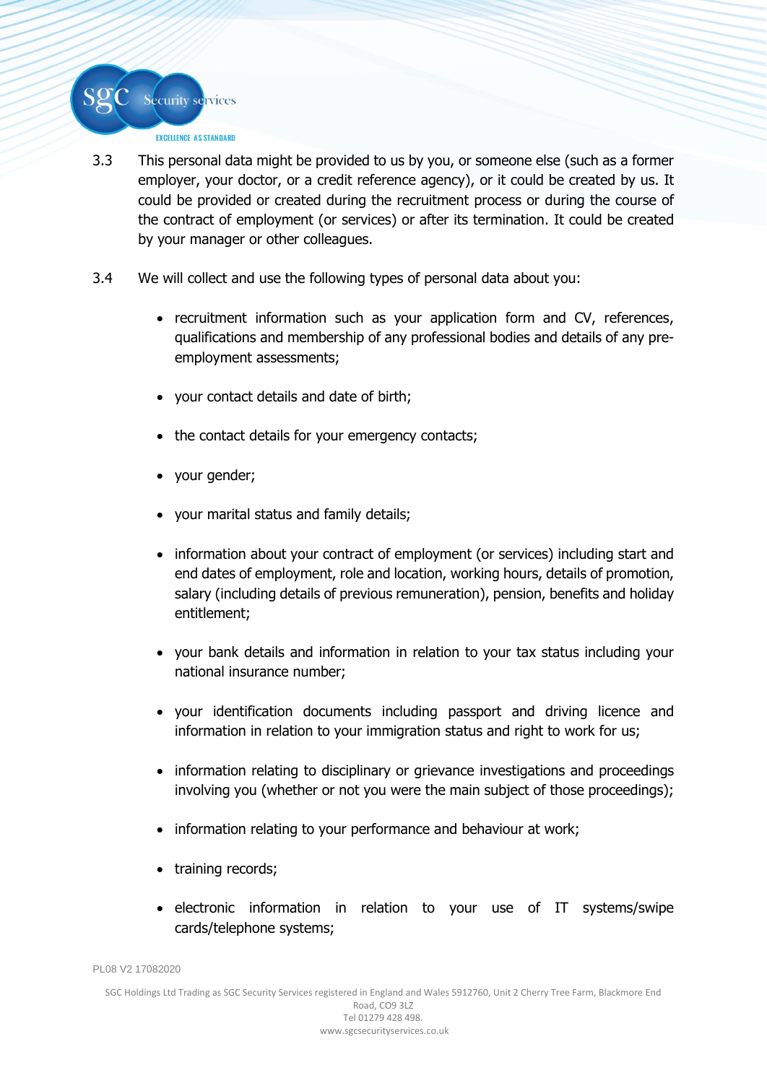

- 3.3 This personal data might be provided to us by you, or someone else (such as a former employer, your doctor, or a credit reference agency), or it could be created by us. It could be provided or created during the recruitment process or during the course of the contract of employment (or services) or after its termination. It could be created by your manager or other colleagues.
- 3.4 We will collect and use the following types of personal data about you:
	- recruitment information such as your application form and CV, references, qualifications and membership of any professional bodies and details of any preemployment assessments;
	- your contact details and date of birth;
	- the contact details for your emergency contacts;
	- your gender;
	- your marital status and family details;
	- information about your contract of employment (or services) including start and end dates of employment, role and location, working hours, details of promotion, salary (including details of previous remuneration), pension, benefits and holiday entitlement;
	- your bank details and information in relation to your tax status including your national insurance number;
	- your identification documents including passport and driving licence and information in relation to your immigration status and right to work for us;
	- information relating to disciplinary or grievance investigations and proceedings involving you (whether or not you were the main subject of those proceedings);
	- information relating to your performance and behaviour at work;
	- training records;
	- electronic information in relation to your use of IT systems/swipe cards/telephone systems;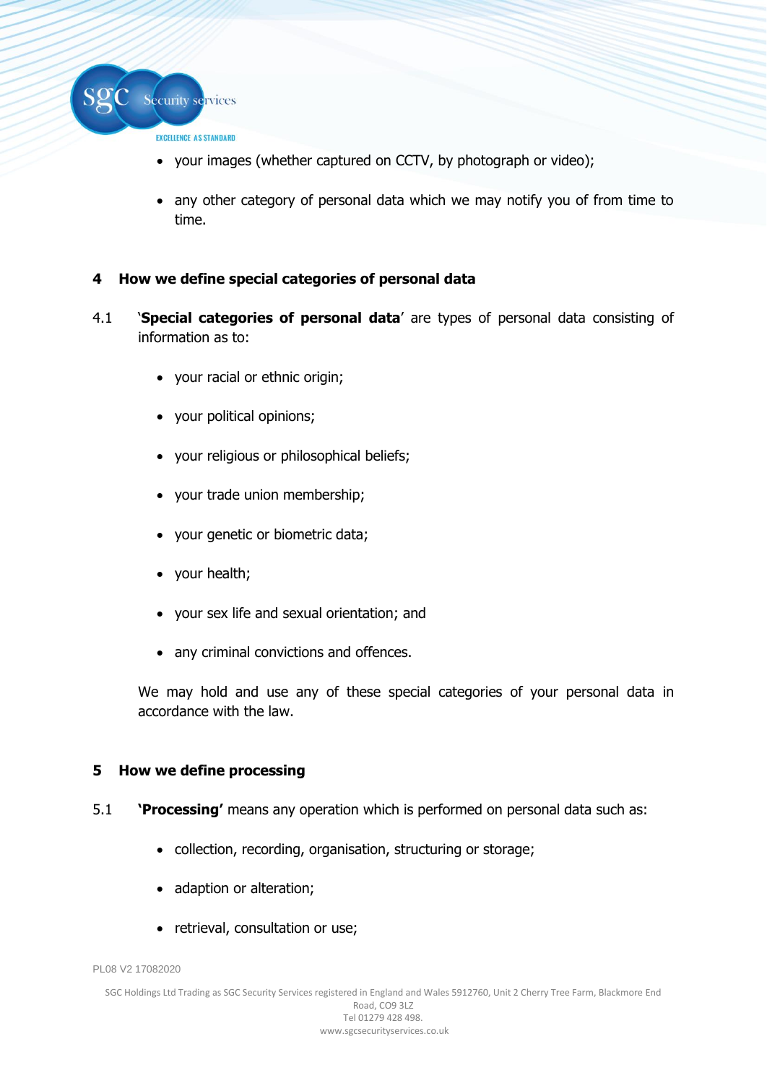

- your images (whether captured on CCTV, by photograph or video);
- any other category of personal data which we may notify you of from time to time.

# **4 How we define special categories of personal data**

- 4.1 '**Special categories of personal data**' are types of personal data consisting of information as to:
	- your racial or ethnic origin;
	- your political opinions;
	- your religious or philosophical beliefs;
	- your trade union membership;
	- your genetic or biometric data;
	- your health;
	- your sex life and sexual orientation; and
	- any criminal convictions and offences.

We may hold and use any of these special categories of your personal data in accordance with the law.

# **5 How we define processing**

- 5.1 **'Processing'** means any operation which is performed on personal data such as:
	- collection, recording, organisation, structuring or storage;
	- adaption or alteration;
	- retrieval, consultation or use;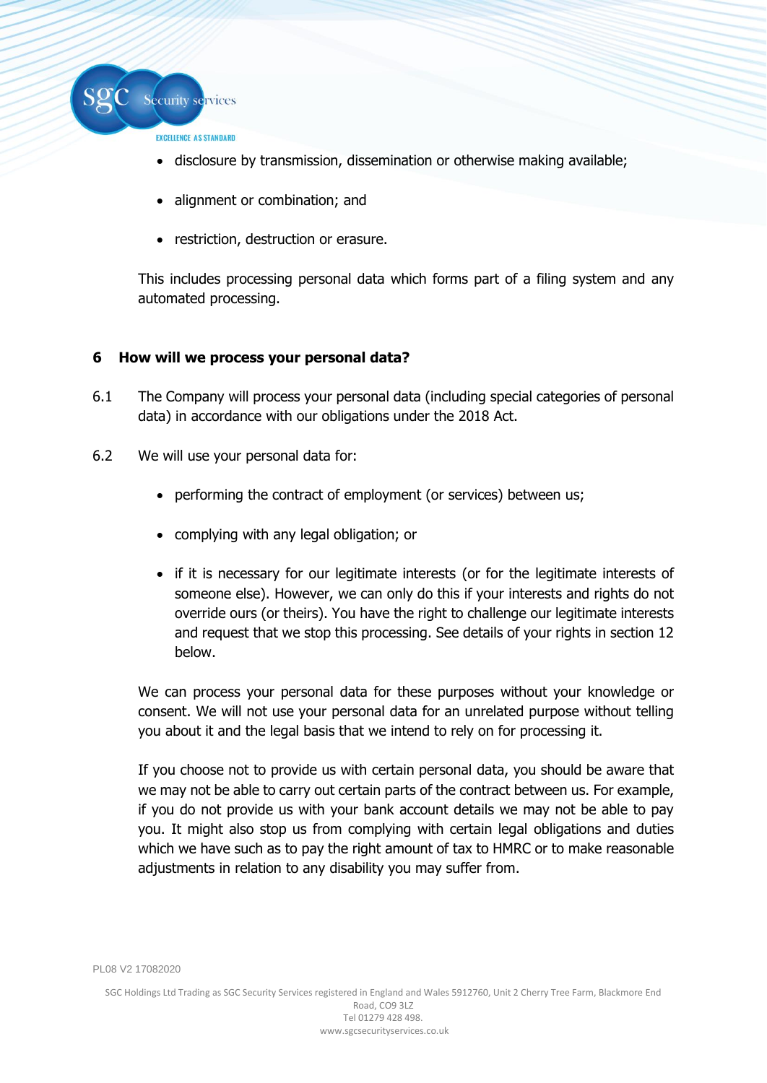

- disclosure by transmission, dissemination or otherwise making available;
- alignment or combination; and
- restriction, destruction or erasure.

This includes processing personal data which forms part of a filing system and any automated processing.

# **6 How will we process your personal data?**

- 6.1 The Company will process your personal data (including special categories of personal data) in accordance with our obligations under the 2018 Act.
- 6.2 We will use your personal data for:
	- performing the contract of employment (or services) between us;
	- complying with any legal obligation; or
	- if it is necessary for our legitimate interests (or for the legitimate interests of someone else). However, we can only do this if your interests and rights do not override ours (or theirs). You have the right to challenge our legitimate interests and request that we stop this processing. See details of your rights in section 12 below.

We can process your personal data for these purposes without your knowledge or consent. We will not use your personal data for an unrelated purpose without telling you about it and the legal basis that we intend to rely on for processing it.

If you choose not to provide us with certain personal data, you should be aware that we may not be able to carry out certain parts of the contract between us. For example, if you do not provide us with your bank account details we may not be able to pay you. It might also stop us from complying with certain legal obligations and duties which we have such as to pay the right amount of tax to HMRC or to make reasonable adjustments in relation to any disability you may suffer from.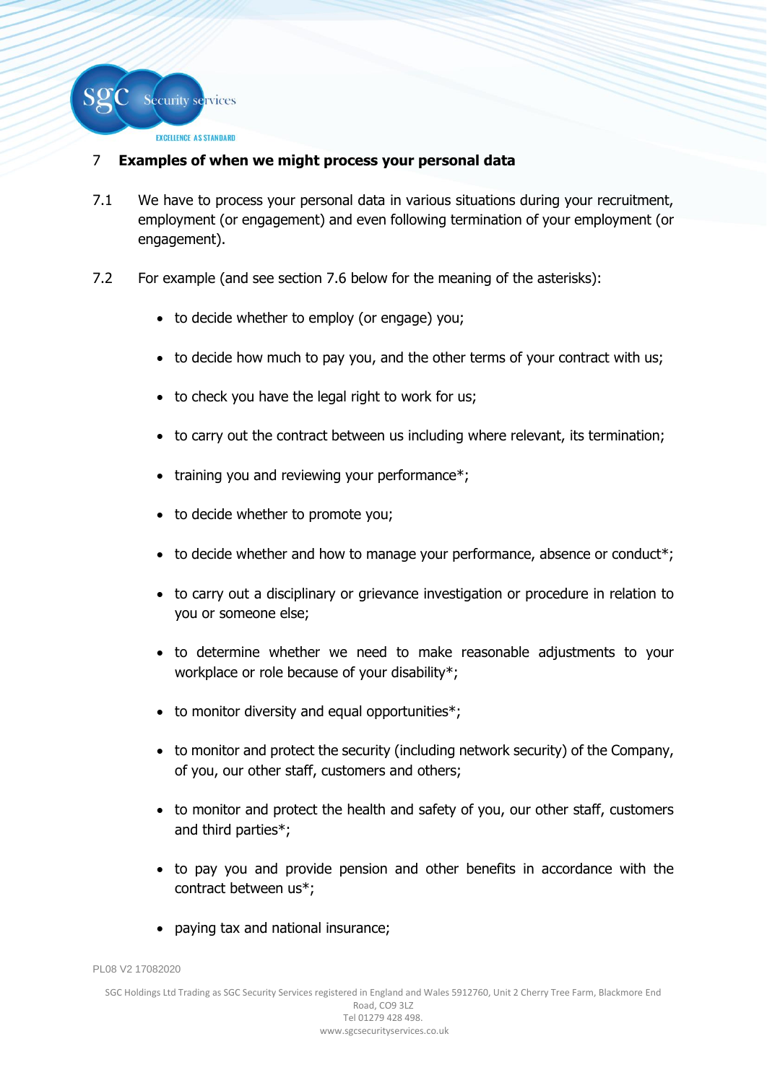

# 7 **Examples of when we might process your personal data**

- 7.1 We have to process your personal data in various situations during your recruitment, employment (or engagement) and even following termination of your employment (or engagement).
- 7.2 For example (and see section 7.6 below for the meaning of the asterisks):
	- to decide whether to employ (or engage) you;
	- to decide how much to pay you, and the other terms of your contract with us;
	- to check you have the legal right to work for us;
	- to carry out the contract between us including where relevant, its termination;
	- training you and reviewing your performance\*;
	- to decide whether to promote you;
	- to decide whether and how to manage your performance, absence or conduct\*;
	- to carry out a disciplinary or grievance investigation or procedure in relation to you or someone else;
	- to determine whether we need to make reasonable adjustments to your workplace or role because of your disability\*;
	- to monitor diversity and equal opportunities\*;
	- to monitor and protect the security (including network security) of the Company, of you, our other staff, customers and others;
	- to monitor and protect the health and safety of you, our other staff, customers and third parties\*;
	- to pay you and provide pension and other benefits in accordance with the contract between us\*;
	- paying tax and national insurance;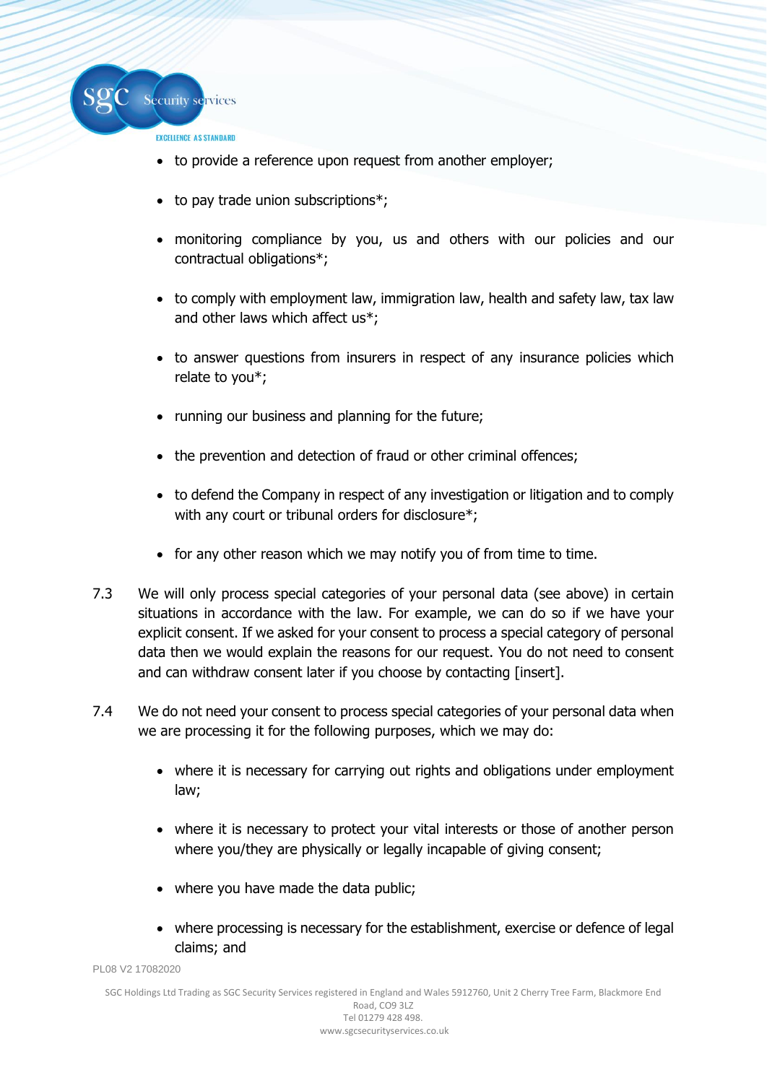

- to provide a reference upon request from another employer;
- to pay trade union subscriptions\*;
- monitoring compliance by you, us and others with our policies and our contractual obligations\*;
- to comply with employment law, immigration law, health and safety law, tax law and other laws which affect us\*;
- to answer questions from insurers in respect of any insurance policies which relate to you\*;
- running our business and planning for the future;
- the prevention and detection of fraud or other criminal offences;
- to defend the Company in respect of any investigation or litigation and to comply with any court or tribunal orders for disclosure\*;
- for any other reason which we may notify you of from time to time.
- 7.3 We will only process special categories of your personal data (see above) in certain situations in accordance with the law. For example, we can do so if we have your explicit consent. If we asked for your consent to process a special category of personal data then we would explain the reasons for our request. You do not need to consent and can withdraw consent later if you choose by contacting [insert].
- 7.4 We do not need your consent to process special categories of your personal data when we are processing it for the following purposes, which we may do:
	- where it is necessary for carrying out rights and obligations under employment law;
	- where it is necessary to protect your vital interests or those of another person where you/they are physically or legally incapable of giving consent;
	- where you have made the data public;
	- where processing is necessary for the establishment, exercise or defence of legal claims; and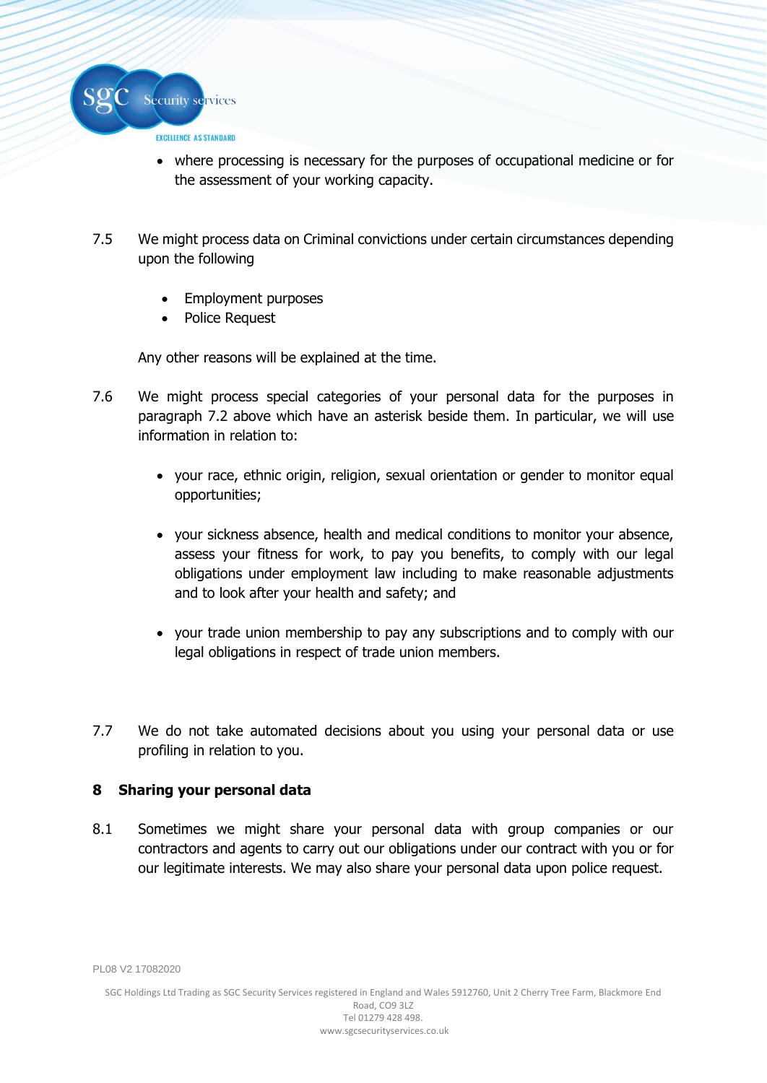

- where processing is necessary for the purposes of occupational medicine or for the assessment of your working capacity.
- 7.5 We might process data on Criminal convictions under certain circumstances depending upon the following
	- Employment purposes
	- Police Request

Any other reasons will be explained at the time.

- 7.6 We might process special categories of your personal data for the purposes in paragraph 7.2 above which have an asterisk beside them. In particular, we will use information in relation to:
	- your race, ethnic origin, religion, sexual orientation or gender to monitor equal opportunities;
	- your sickness absence, health and medical conditions to monitor your absence, assess your fitness for work, to pay you benefits, to comply with our legal obligations under employment law including to make reasonable adjustments and to look after your health and safety; and
	- your trade union membership to pay any subscriptions and to comply with our legal obligations in respect of trade union members.
- 7.7 We do not take automated decisions about you using your personal data or use profiling in relation to you.

# **8 Sharing your personal data**

8.1 Sometimes we might share your personal data with group companies or our contractors and agents to carry out our obligations under our contract with you or for our legitimate interests. We may also share your personal data upon police request.

PL08 V2 17082020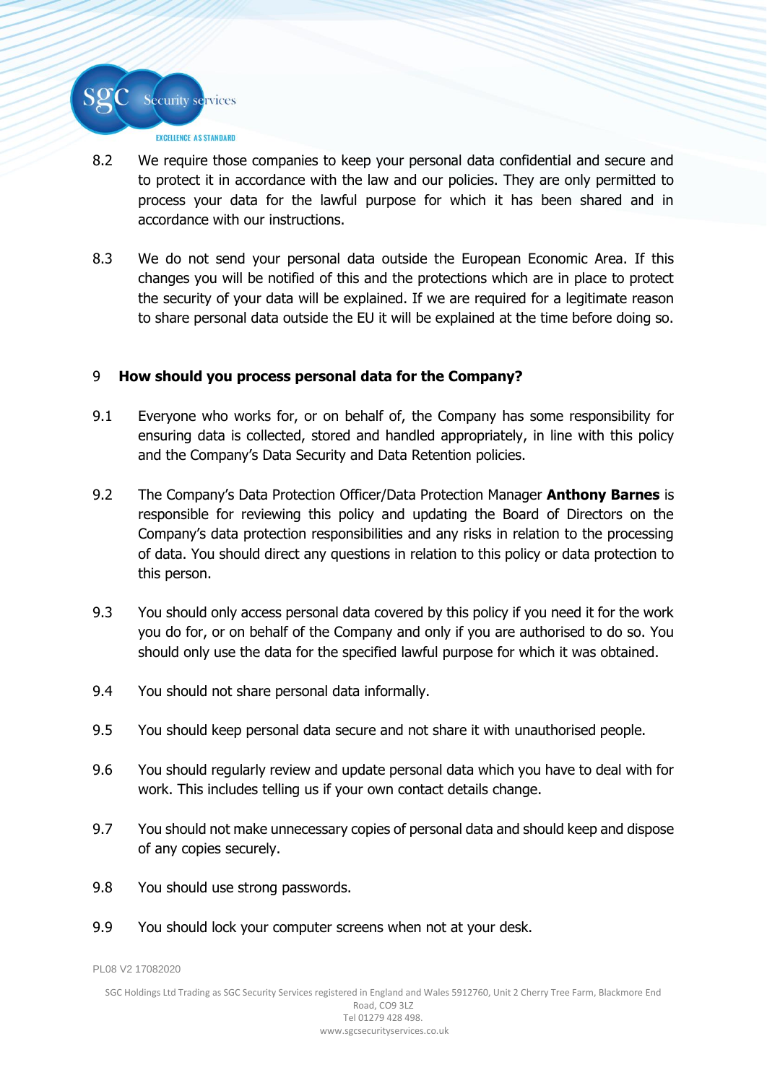

- 8.2 We require those companies to keep your personal data confidential and secure and to protect it in accordance with the law and our policies. They are only permitted to process your data for the lawful purpose for which it has been shared and in accordance with our instructions.
- 8.3 We do not send your personal data outside the European Economic Area. If this changes you will be notified of this and the protections which are in place to protect the security of your data will be explained. If we are required for a legitimate reason to share personal data outside the EU it will be explained at the time before doing so.

# 9 **How should you process personal data for the Company?**

- 9.1 Everyone who works for, or on behalf of, the Company has some responsibility for ensuring data is collected, stored and handled appropriately, in line with this policy and the Company's Data Security and Data Retention policies.
- 9.2 The Company's Data Protection Officer/Data Protection Manager **Anthony Barnes** is responsible for reviewing this policy and updating the Board of Directors on the Company's data protection responsibilities and any risks in relation to the processing of data. You should direct any questions in relation to this policy or data protection to this person.
- 9.3 You should only access personal data covered by this policy if you need it for the work you do for, or on behalf of the Company and only if you are authorised to do so. You should only use the data for the specified lawful purpose for which it was obtained.
- 9.4 You should not share personal data informally.
- 9.5 You should keep personal data secure and not share it with unauthorised people.
- 9.6 You should regularly review and update personal data which you have to deal with for work. This includes telling us if your own contact details change.
- 9.7 You should not make unnecessary copies of personal data and should keep and dispose of any copies securely.
- 9.8 You should use strong passwords.
- 9.9 You should lock your computer screens when not at your desk.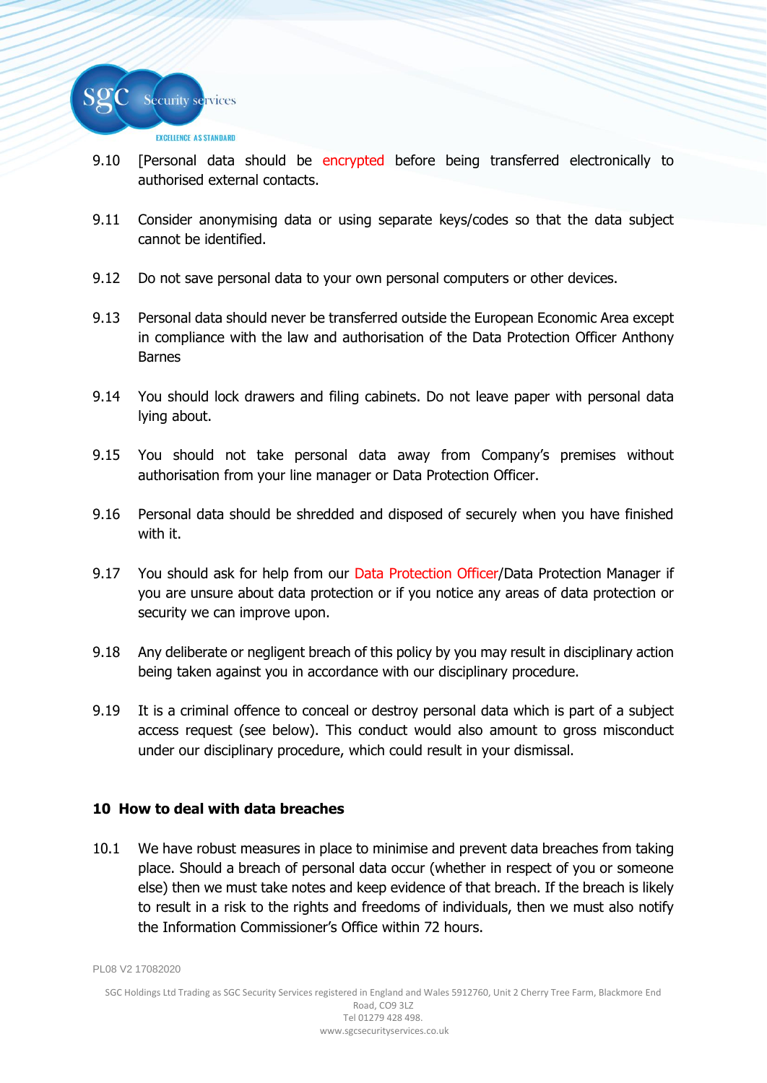

- 9.10 [Personal data should be encrypted before being transferred electronically to authorised external contacts.
- 9.11 Consider anonymising data or using separate keys/codes so that the data subject cannot be identified.
- 9.12 Do not save personal data to your own personal computers or other devices.
- 9.13 Personal data should never be transferred outside the European Economic Area except in compliance with the law and authorisation of the Data Protection Officer Anthony Barnes
- 9.14 You should lock drawers and filing cabinets. Do not leave paper with personal data lying about.
- 9.15 You should not take personal data away from Company's premises without authorisation from your line manager or Data Protection Officer.
- 9.16 Personal data should be shredded and disposed of securely when you have finished with it.
- 9.17 You should ask for help from our Data Protection Officer/Data Protection Manager if you are unsure about data protection or if you notice any areas of data protection or security we can improve upon.
- 9.18 Any deliberate or negligent breach of this policy by you may result in disciplinary action being taken against you in accordance with our disciplinary procedure.
- 9.19 It is a criminal offence to conceal or destroy personal data which is part of a subject access request (see below). This conduct would also amount to gross misconduct under our disciplinary procedure, which could result in your dismissal.

# **10 How to deal with data breaches**

10.1 We have robust measures in place to minimise and prevent data breaches from taking place. Should a breach of personal data occur (whether in respect of you or someone else) then we must take notes and keep evidence of that breach. If the breach is likely to result in a risk to the rights and freedoms of individuals, then we must also notify the Information Commissioner's Office within 72 hours.

```
PL08 V2 17082020
```
SGC Holdings Ltd Trading as SGC Security Services registered in England and Wales 5912760, Unit 2 Cherry Tree Farm, Blackmore End Road, CO9 3LZ Tel 01279 428 498.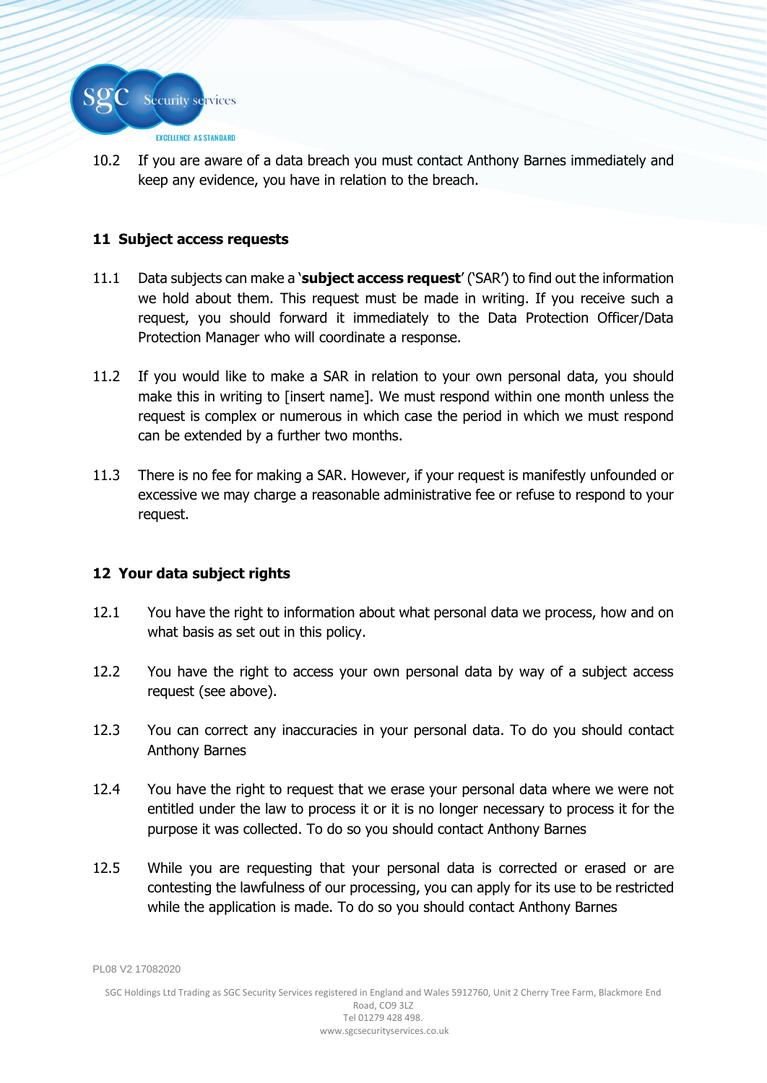

10.2 If you are aware of a data breach you must contact Anthony Barnes immediately and keep any evidence, you have in relation to the breach.

# **11 Subject access requests**

- 11.1 Data subjects can make a '**subject access request**' ('SAR') to find out the information we hold about them. This request must be made in writing. If you receive such a request, you should forward it immediately to the Data Protection Officer/Data Protection Manager who will coordinate a response.
- 11.2 If you would like to make a SAR in relation to your own personal data, you should make this in writing to [insert name]. We must respond within one month unless the request is complex or numerous in which case the period in which we must respond can be extended by a further two months.
- 11.3 There is no fee for making a SAR. However, if your request is manifestly unfounded or excessive we may charge a reasonable administrative fee or refuse to respond to your request.

# **12 Your data subject rights**

- 12.1 You have the right to information about what personal data we process, how and on what basis as set out in this policy.
- 12.2 You have the right to access your own personal data by way of a subject access request (see above).
- 12.3 You can correct any inaccuracies in your personal data. To do you should contact Anthony Barnes
- 12.4 You have the right to request that we erase your personal data where we were not entitled under the law to process it or it is no longer necessary to process it for the purpose it was collected. To do so you should contact Anthony Barnes
- 12.5 While you are requesting that your personal data is corrected or erased or are contesting the lawfulness of our processing, you can apply for its use to be restricted while the application is made. To do so you should contact Anthony Barnes

PL08 V2 17082020